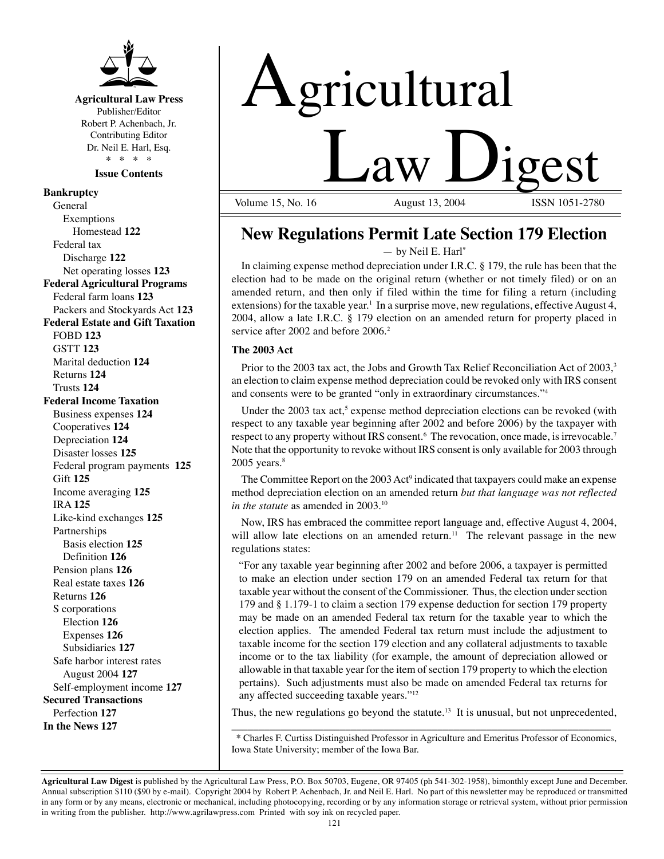

# **Agricultural Law Press**

Publisher/Editor Robert P. Achenbach, Jr. Contributing Editor Dr. Neil E. Harl, Esq. \* \* \* \*

**Issue Contents** 

# **Bankruptcy**

General Exemptions Homestead **122** Federal tax Discharge **122** Net operating losses **123 Federal Agricultural Programs**  Federal farm loans **123**  Packers and Stockyards Act **123 Federal Estate and Gift Taxation**  FOBD **123**  GSTT **123**  Marital deduction **124**  Returns **124**  Trusts **124 Federal Income Taxation**  Business expenses **124**  Cooperatives **124**  Depreciation **124**  Disaster losses **125**  Federal program payments **125**  Gift **125**  Income averaging **125**  IRA **125**  Like-kind exchanges **125**  Partnerships Basis election **125**  Definition **126** Pension plans **126** Real estate taxes **126** Returns **126** S corporations Election **126** Expenses **126** Subsidiaries **127** Safe harbor interest rates August 2004 **127**  Self-employment income **127 Secured Transactions**  Perfection **127 In the News 127** 



Volume 15, No. 16

# **New Regulations Permit Late Section 179 Election**

— by Neil E. Harl**\*** 

In claiming expense method depreciation under I.R.C. § 179, the rule has been that the election had to be made on the original return (whether or not timely filed) or on an amended return, and then only if filed within the time for filing a return (including extensions) for the taxable year. 1 In a surprise move, new regulations, effective August 4, 2004, allow a late I.R.C. § 179 election on an amended return for property placed in service after 2002 and before 2006.<sup>2</sup>

## **The 2003 Act**

Prior to the 2003 tax act, the Jobs and Growth Tax Relief Reconciliation Act of 2003,<sup>3</sup> an election to claim expense method depreciation could be revoked only with IRS consent and consents were to be granted "only in extraordinary circumstances."4

Under the 2003 tax act,<sup>5</sup> expense method depreciation elections can be revoked (with respect to any taxable year beginning after 2002 and before 2006) by the taxpayer with respect to any property without IRS consent.<sup>6</sup> The revocation, once made, is irrevocable.<sup>7</sup> Note that the opportunity to revoke without IRS consent is only available for 2003 through  $2005$  years. $8$ 

The Committee Report on the 2003 Act<sup>9</sup> indicated that taxpayers could make an expense method depreciation election on an amended return *but that language was not reflected in the statute* as amended in 2003.<sup>10</sup>

Now, IRS has embraced the committee report language and, effective August 4, 2004, will allow late elections on an amended return.<sup>11</sup> The relevant passage in the new regulations states:

"For any taxable year beginning after 2002 and before 2006, a taxpayer is permitted to make an election under section 179 on an amended Federal tax return for that taxable year without the consent of the Commissioner. Thus, the election under section 179 and § 1.179-1 to claim a section 179 expense deduction for section 179 property may be made on an amended Federal tax return for the taxable year to which the election applies. The amended Federal tax return must include the adjustment to taxable income for the section 179 election and any collateral adjustments to taxable income or to the tax liability (for example, the amount of depreciation allowed or allowable in that taxable year for the item of section 179 property to which the election pertains). Such adjustments must also be made on amended Federal tax returns for any affected succeeding taxable years."12

\_\_\_\_\_\_\_\_\_\_\_\_\_\_\_\_\_\_\_\_\_\_\_\_\_\_\_\_\_\_\_\_\_\_\_\_\_\_\_\_\_\_\_\_\_\_\_\_\_\_\_\_\_\_\_\_\_\_\_\_\_\_\_\_\_\_\_\_\_\_ Thus, the new regulations go beyond the statute.<sup>13</sup> It is unusual, but not unprecedented,

\* Charles F. Curtiss Distinguished Professor in Agriculture and Emeritus Professor of Economics, Iowa State University; member of the Iowa Bar.

**Agricultural Law Digest** is published by the Agricultural Law Press, P.O. Box 50703, Eugene, OR 97405 (ph 541-302-1958), bimonthly except June and December. Annual subscription \$110 (\$90 by e-mail). Copyright 2004 by Robert P. Achenbach, Jr. and Neil E. Harl. No part of this newsletter may be reproduced or transmitted in any form or by any means, electronic or mechanical, including photocopying, recording or by any information storage or retrieval system, without prior permission in writing from the publisher. http://www.agrilawpress.com Printed with soy ink on recycled paper.